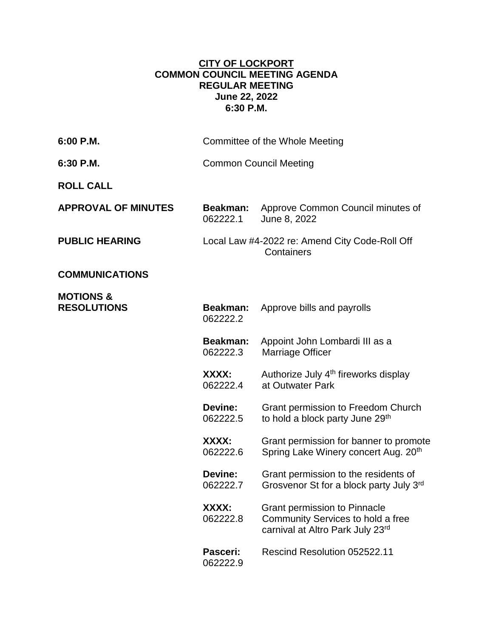## **CITY OF LOCKPORT COMMON COUNCIL MEETING AGENDA REGULAR MEETING June 22, 2022 6:30 P.M.**

| 6:00 P.M.                                  |                               | Committee of the Whole Meeting                                                                               |
|--------------------------------------------|-------------------------------|--------------------------------------------------------------------------------------------------------------|
| 6:30 P.M.                                  | <b>Common Council Meeting</b> |                                                                                                              |
| <b>ROLL CALL</b>                           |                               |                                                                                                              |
| <b>APPROVAL OF MINUTES</b>                 | <b>Beakman:</b><br>062222.1   | Approve Common Council minutes of<br>June 8, 2022                                                            |
| <b>PUBLIC HEARING</b>                      |                               | Local Law #4-2022 re: Amend City Code-Roll Off<br>Containers                                                 |
| <b>COMMUNICATIONS</b>                      |                               |                                                                                                              |
| <b>MOTIONS &amp;</b><br><b>RESOLUTIONS</b> | <b>Beakman:</b><br>062222.2   | Approve bills and payrolls                                                                                   |
|                                            | <b>Beakman:</b><br>062222.3   | Appoint John Lombardi III as a<br>Marriage Officer                                                           |
|                                            | XXXX:<br>062222.4             | Authorize July 4 <sup>th</sup> fireworks display<br>at Outwater Park                                         |
|                                            | Devine:<br>062222.5           | Grant permission to Freedom Church<br>to hold a block party June 29th                                        |
|                                            | XXXX:<br>062222.6             | Grant permission for banner to promote<br>Spring Lake Winery concert Aug. 20 <sup>th</sup>                   |
|                                            | Devine:<br>062222.7           | Grant permission to the residents of<br>Grosvenor St for a block party July 3rd                              |
|                                            | XXXX:<br>062222.8             | <b>Grant permission to Pinnacle</b><br>Community Services to hold a free<br>carnival at Altro Park July 23rd |
|                                            | Pasceri:<br>062222.9          | Rescind Resolution 052522.11                                                                                 |